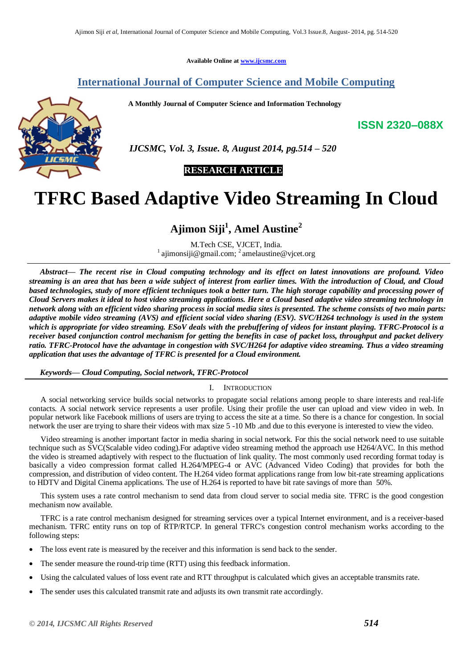**Available Online at [www.ijcsmc.com](http://www.ijcsmc.com/)**

# **International Journal of Computer Science and Mobile Computing**

 **A Monthly Journal of Computer Science and Information Technology**



 *IJCSMC, Vol. 3, Issue. 8, August 2014, pg.514 – 520*

 **RESEARCH ARTICLE**

# **TFRC Based Adaptive Video Streaming In Cloud**

# **Ajimon Siji<sup>1</sup> , Amel Austine<sup>2</sup>**

M.Tech CSE, VJCET, India. <sup>1</sup> ajimonsiji@gmail.com; <sup>2</sup> amelaustine@vjcet.org

*Abstract— The recent rise in Cloud computing technology and its effect on latest innovations are profound. Video streaming is an area that has been a wide subject of interest from earlier times. With the introduction of Cloud, and Cloud based technologies, study of more efficient techniques took a better turn. The high storage capability and processing power of Cloud Servers makes it ideal to host video streaming applications. Here a Cloud based adaptive video streaming technology in network along with an efficient video sharing process in social media sites is presented. The scheme consists of two main parts: adaptive mobile video streaming (AVS) and efficient social video sharing (ESV). SVC/H264 technology is used in the system which is appropriate for video streaming. ESoV deals with the prebuffering of videos for instant playing. TFRC-Protocol is a receiver based conjunction control mechanism for getting the benefits in case of packet loss, throughput and packet delivery ratio. TFRC-Protocol have the advantage in congestion with SVC/H264 for adaptive video streaming. Thus a video streaming application that uses the advantage of TFRC is presented for a Cloud environment.*

*Keywords— Cloud Computing, Social network, TFRC-Protocol*

# I. INTRODUCTION

A social networking service builds social networks to propagate social relations among people to share interests and real-life contacts. A social network service represents a user profile. Using their profile the user can upload and view video in web. In popular network like Facebook millions of users are trying to access the site at a time. So there is a chance for congestion. In social network the user are trying to share their videos with max size 5 -10 Mb .and due to this everyone is interested to view the video.

Video streaming is another important factor in media sharing in social network. For this the social network need to use suitable technique such as SVC(Scalable video coding).For adaptive video streaming method the approach use H264/AVC. In this method the video is streamed adaptively with respect to the fluctuation of link quality. The most commonly used recording format today is basically a video compression format called H.264/MPEG-4 or AVC (Advanced Video Coding) that provides for both the compression, and distribution of video content. The H.264 video format applications range from low bit-rate streaming applications to HDTV and Digital Cinema applications. The use of H.264 is reported to have bit rate savings of more than 50%.

This system uses a rate control mechanism to send data from cloud server to social media site. TFRC is the good congestion mechanism now available.

TFRC is a rate control mechanism designed for streaming services over a typical Internet environment, and is a receiver-based mechanism. TFRC entity runs on top of RTP/RTCP. In general TFRC's congestion control mechanism works according to the following steps:

- The loss event rate is measured by the receiver and this information is send back to the sender.
- The sender measure the round-trip time (RTT) using this feedback information.
- Using the calculated values of loss event rate and RTT throughput is calculated which gives an acceptable transmits rate.
- The sender uses this calculated transmit rate and adjusts its own transmit rate accordingly.

**ISSN 2320–088X**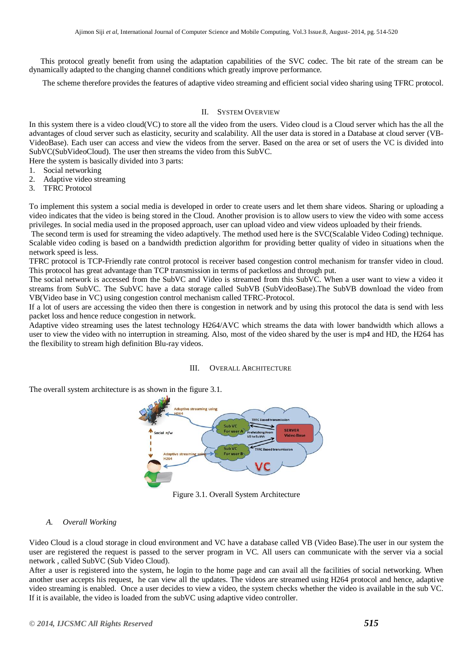This protocol greatly benefit from using the adaptation capabilities of the SVC codec. The bit rate of the stream can be dynamically adapted to the changing channel conditions which greatly improve performance.

The scheme therefore provides the features of adaptive video streaming and efficient social video sharing using TFRC protocol.

#### II. SYSTEM OVERVIEW

In this system there is a video cloud(VC) to store all the video from the users. Video cloud is a Cloud server which has the all the advantages of cloud server such as elasticity, security and scalability. All the user data is stored in a Database at cloud server (VB-VideoBase). Each user can access and view the videos from the server. Based on the area or set of users the VC is divided into SubVC(SubVideoCloud). The user then streams the video from this SubVC.

Here the system is basically divided into 3 parts:

- 1. Social networking
- 2. Adaptive video streaming
- 3. TFRC Protocol

To implement this system a social media is developed in order to create users and let them share videos. Sharing or uploading a video indicates that the video is being stored in the Cloud. Another provision is to allow users to view the video with some access privileges. In social media used in the proposed approach, user can upload video and view videos uploaded by their friends.

The second term is used for streaming the video adaptively. The method used here is the SVC(Scalable Video Coding) technique. Scalable video coding is based on a bandwidth prediction algorithm for providing better quality of video in situations when the network speed is less.

TFRC protocol is TCP-Friendly rate control protocol is receiver based congestion control mechanism for transfer video in cloud. This protocol has great advantage than TCP transmission in terms of packetloss and through put.

The social network is accessed from the SubVC and Video is streamed from this SubVC. When a user want to view a video it streams from SubVC. The SubVC have a data storage called SubVB (SubVideoBase).The SubVB download the video from VB(Video base in VC) using congestion control mechanism called TFRC-Protocol.

If a lot of users are accessing the video then there is congestion in network and by using this protocol the data is send with less packet loss and hence reduce congestion in network.

Adaptive video streaming uses the latest technology H264/AVC which streams the data with lower bandwidth which allows a user to view the video with no interruption in streaming. Also, most of the video shared by the user is mp4 and HD, the H264 has the flexibility to stream high definition Blu-ray videos.

#### III. OVERALL ARCHITECTURE

The overall system architecture is as shown in the figure 3.1.



Figure 3.1. Overall System Architecture

#### *A. Overall Working*

Video Cloud is a cloud storage in cloud environment and VC have a database called VB (Video Base).The user in our system the user are registered the request is passed to the server program in VC. All users can communicate with the server via a social network , called SubVC (Sub Video Cloud).

After a user is registered into the system, he login to the home page and can avail all the facilities of social networking. When another user accepts his request, he can view all the updates. The videos are streamed using H264 protocol and hence, adaptive video streaming is enabled. Once a user decides to view a video, the system checks whether the video is available in the sub VC. If it is available, the video is loaded from the subVC using adaptive video controller.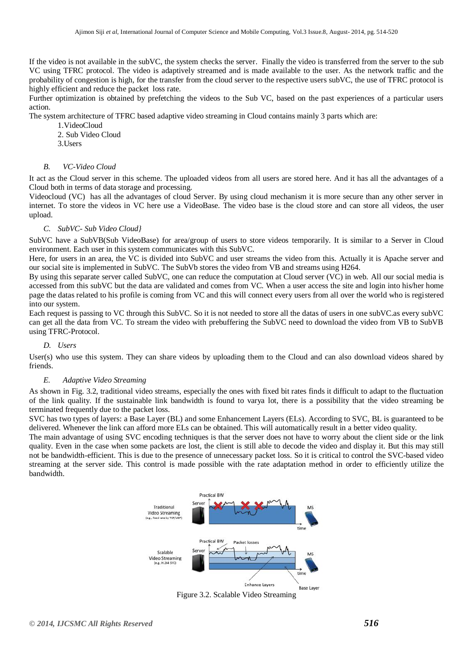If the video is not available in the subVC, the system checks the server. Finally the video is transferred from the server to the sub VC using TFRC protocol. The video is adaptively streamed and is made available to the user. As the network traffic and the probability of congestion is high, for the transfer from the cloud server to the respective users subVC, the use of TFRC protocol is highly efficient and reduce the packet loss rate.

Further optimization is obtained by prefetching the videos to the Sub VC, based on the past experiences of a particular users action.

The system architecture of TFRC based adaptive video streaming in Cloud contains mainly 3 parts which are:

- 1.VideoCloud
- 2. Sub Video Cloud
- 3.Users

#### *B. VC-Video Cloud*

It act as the Cloud server in this scheme. The uploaded videos from all users are stored here. And it has all the advantages of a Cloud both in terms of data storage and processing.

Videocloud (VC) has all the advantages of cloud Server. By using cloud mechanism it is more secure than any other server in internet. To store the videos in VC here use a VideoBase. The video base is the cloud store and can store all videos, the user upload.

#### *C. SubVC- Sub Video Cloud}*

SubVC have a SubVB(Sub VideoBase) for area/group of users to store videos temporarily. It is similar to a Server in Cloud environment. Each user in this system communicates with this SubVC.

Here, for users in an area, the VC is divided into SubVC and user streams the video from this. Actually it is Apache server and our social site is implemented in SubVC. The SubVb stores the video from VB and streams using H264.

By using this separate server called SubVC, one can reduce the computation at Cloud server (VC) in web. All our social media is accessed from this subVC but the data are validated and comes from VC. When a user access the site and login into his/her home page the datas related to his profile is coming from VC and this will connect every users from all over the world who is registered into our system.

Each request is passing to VC through this SubVC. So it is not needed to store all the datas of users in one subVC.as every subVC can get all the data from VC. To stream the video with prebuffering the SubVC need to download the video from VB to SubVB using TFRC-Protocol.

#### *D. Users*

User(s) who use this system. They can share videos by uploading them to the Cloud and can also download videos shared by friends.

## *E. Adaptive Video Streaming*

As shown in Fig. 3.2, traditional video streams, especially the ones with fixed bit rates finds it difficult to adapt to the fluctuation of the link quality. If the sustainable link bandwidth is found to varya lot, there is a possibility that the video streaming be terminated frequently due to the packet loss.

SVC has two types of layers: a Base Layer (BL) and some Enhancement Layers (ELs). According to SVC, BL is guaranteed to be delivered. Whenever the link can afford more ELs can be obtained. This will automatically result in a better video quality.

The main advantage of using SVC encoding techniques is that the server does not have to worry about the client side or the link quality. Even in the case when some packets are lost, the client is still able to decode the video and display it. But this may still not be bandwidth-efficient. This is due to the presence of unnecessary packet loss. So it is critical to control the SVC-based video streaming at the server side. This control is made possible with the rate adaptation method in order to efficiently utilize the bandwidth.



Figure 3.2. Scalable Video Streaming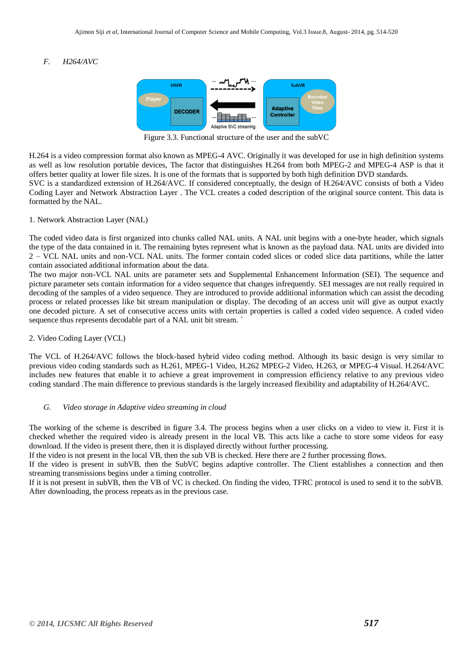# *F. H264/AVC*



Figure 3.3. Functional structure of the user and the subVC

H.264 is a video compression format also known as MPEG-4 AVC. Originally it was developed for use in high definition systems as well as low resolution portable devices, The factor that distinguishes H.264 from both MPEG-2 and MPEG-4 ASP is that it offers better quality at lower file sizes. It is one of the formats that is supported by both high definition DVD standards. SVC is a standardized extension of H.264/AVC. If considered conceptually, the design of H.264/AVC consists of both a Video

Coding Layer and Network Abstraction Layer . The VCL creates a coded description of the original source content. This data is formatted by the NAL.

#### 1. Network Abstraction Layer (NAL)

The coded video data is first organized into chunks called NAL units. A NAL unit begins with a one-byte header, which signals the type of the data contained in it. The remaining bytes represent what is known as the payload data. NAL units are divided into 2 – VCL NAL units and non-VCL NAL units. The former contain coded slices or coded slice data partitions, while the latter contain associated additional information about the data.

The two major non-VCL NAL units are parameter sets and Supplemental Enhancement Information (SEI). The sequence and picture parameter sets contain information for a video sequence that changes infrequently. SEI messages are not really required in decoding of the samples of a video sequence. They are introduced to provide additional information which can assist the decoding process or related processes like bit stream manipulation or display. The decoding of an access unit will give as output exactly one decoded picture. A set of consecutive access units with certain properties is called a coded video sequence. A coded video sequence thus represents decodable part of a NAL unit bit stream. `

#### 2. Video Coding Layer (VCL)

The VCL of H.264/AVC follows the block-based hybrid video coding method. Although its basic design is very similar to previous video coding standards such as H.261, MPEG-1 Video, H.262 MPEG-2 Video, H.263, or MPEG-4 Visual. H.264/AVC includes new features that enable it to achieve a great improvement in compression efficiency relative to any previous video coding standard .The main difference to previous standards is the largely increased flexibility and adaptability of H.264/AVC.

## *G. Video storage in Adaptive video streaming in cloud*

The working of the scheme is described in figure 3.4. The process begins when a user clicks on a video to view it. First it is checked whether the required video is already present in the local VB. This acts like a cache to store some videos for easy download. If the video is present there, then it is displayed directly without further processing.

If the video is not present in the local VB, then the sub VB is checked. Here there are 2 further processing flows.

If the video is present in subVB, then the SubVC begins adaptive controller. The Client establishes a connection and then streaming transmissions begins under a timing controller.

If it is not present in subVB, then the VB of VC is checked. On finding the video, TFRC protocol is used to send it to the subVB. After downloading, the process repeats as in the previous case.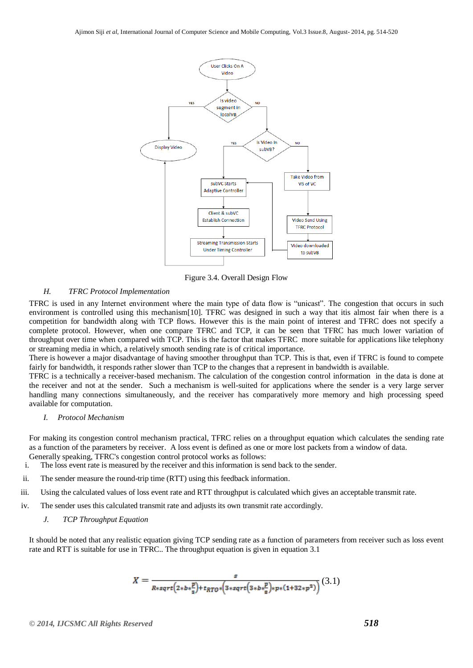

Figure 3.4. Overall Design Flow

# *H. TFRC Protocol Implementation*

TFRC is used in any Internet environment where the main type of data flow is "unicast". The congestion that occurs in such environment is controlled using this mechanism[10]. TFRC was designed in such a way that itis almost fair when there is a competition for bandwidth along with TCP flows. However this is the main point of interest and TFRC does not specify a complete protocol. However, when one compare TFRC and TCP, it can be seen that TFRC has much lower variation of throughput over time when compared with TCP. This is the factor that makes TFRC more suitable for applications like telephony or streaming media in which, a relatively smooth sending rate is of critical importance.

There is however a major disadvantage of having smoother throughput than TCP. This is that, even if TFRC is found to compete fairly for bandwidth, it responds rather slower than TCP to the changes that a represent in bandwidth is available.

TFRC is a technically a receiver-based mechanism. The calculation of the congestion control information in the data is done at the receiver and not at the sender. Such a mechanism is well-suited for applications where the sender is a very large server handling many connections simultaneously, and the receiver has comparatively more memory and high processing speed available for computation.

#### *I. Protocol Mechanism*

For making its congestion control mechanism practical, TFRC relies on a throughput equation which calculates the sending rate as a function of the parameters by receiver. A loss event is defined as one or more lost packets from a window of data. Generally speaking, TFRC's congestion control protocol works as follows:

- i. The loss event rate is measured by the receiver and this information is send back to the sender.
- ii. The sender measure the round-trip time (RTT) using this feedback information.
- iii. Using the calculated values of loss event rate and RTT throughput is calculated which gives an acceptable transmit rate.
- iv. The sender uses this calculated transmit rate and adjusts its own transmit rate accordingly.

# *J. TCP Throughput Equation*

It should be noted that any realistic equation giving TCP sending rate as a function of parameters from receiver such as loss event rate and RTT is suitable for use in TFRC.. The throughput equation is given in equation 3.1

$$
X = \frac{s}{R \cdot \sqrt{(2 \cdot b \cdot \frac{p}{s}) + t_{RTO} \cdot (3 \cdot \sqrt{2 \cdot b \cdot \frac{p}{s}}) \cdot p \cdot (1 + 32 \cdot p^2)}}(3.1)
$$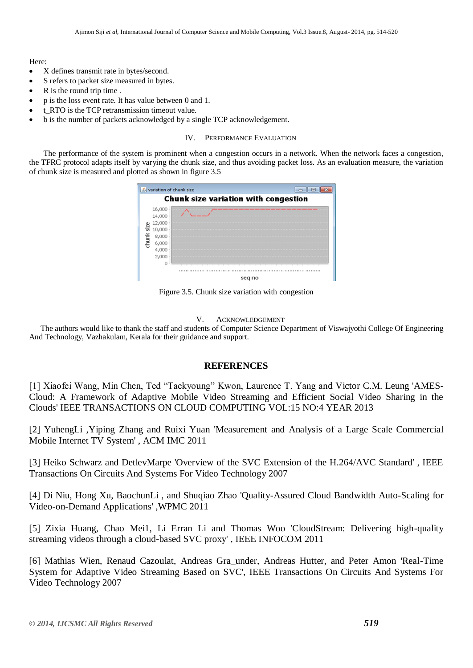#### Here:

- X defines transmit rate in bytes/second.
- S refers to packet size measured in bytes.
- R is the round trip time .
- p is the loss event rate. It has value between 0 and 1.
- t RTO is the TCP retransmission timeout value.
- b is the number of packets acknowledged by a single TCP acknowledgement.

#### IV. PERFORMANCE EVALUATION

The performance of the system is prominent when a congestion occurs in a network. When the network faces a congestion, the TFRC protocol adapts itself by varying the chunk size, and thus avoiding packet loss. As an evaluation measure, the variation of chunk size is measured and plotted as shown in figure 3.5

|                                             | variation of chunk size |     |  |
|---------------------------------------------|-------------------------|-----|--|
| <b>Chunk size variation with congestion</b> |                         |     |  |
|                                             | 16,000                  |     |  |
|                                             | 14,000                  |     |  |
|                                             | 12,000                  |     |  |
| size                                        | 10,000                  |     |  |
|                                             | 8,000                   |     |  |
| nunk                                        | 6,000                   |     |  |
|                                             | 4,000                   |     |  |
|                                             | 2,000                   |     |  |
|                                             | $\Omega$                |     |  |
|                                             |                         |     |  |
|                                             |                         | seq |  |

Figure 3.5. Chunk size variation with congestion

#### V. ACKNOWLEDGEMENT

The authors would like to thank the staff and students of Computer Science Department of Viswajyothi College Of Engineering And Technology, Vazhakulam, Kerala for their guidance and support.

# **REFERENCES**

[1] Xiaofei Wang, Min Chen, Ted "Taekyoung" Kwon, Laurence T. Yang and Victor C.M. Leung 'AMES-Cloud: A Framework of Adaptive Mobile Video Streaming and Efficient Social Video Sharing in the Clouds' IEEE TRANSACTIONS ON CLOUD COMPUTING VOL:15 NO:4 YEAR 2013

[2] YuhengLi ,Yiping Zhang and Ruixi Yuan 'Measurement and Analysis of a Large Scale Commercial Mobile Internet TV System' , ACM IMC 2011

[3] Heiko Schwarz and DetlevMarpe 'Overview of the SVC Extension of the H.264/AVC Standard' , IEEE Transactions On Circuits And Systems For Video Technology 2007

[4] Di Niu, Hong Xu, BaochunLi , and Shuqiao Zhao 'Quality-Assured Cloud Bandwidth Auto-Scaling for Video-on-Demand Applications' ,WPMC 2011

[5] Zixia Huang, Chao Mei1, Li Erran Li and Thomas Woo 'CloudStream: Delivering high-quality streaming videos through a cloud-based SVC proxy' , IEEE INFOCOM 2011

[6] Mathias Wien, Renaud Cazoulat, Andreas Gra\_under, Andreas Hutter, and Peter Amon 'Real-Time System for Adaptive Video Streaming Based on SVC', IEEE Transactions On Circuits And Systems For Video Technology 2007